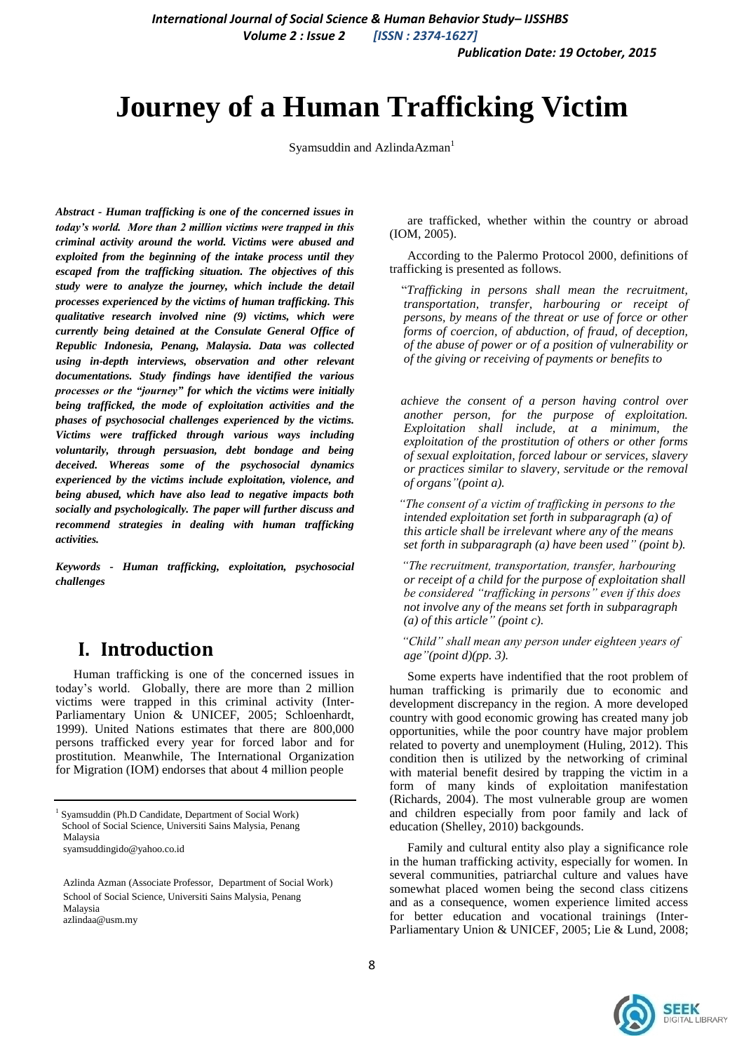*Volume 2 : Issue 2 [ISSN : 2374-1627]*

*Publication Date: 19 October, 2015*

# **Journey of a Human Trafficking Victim**

Syamsuddin and AzlindaAzman<sup>1</sup>

*Abstract - Human trafficking is one of the concerned issues in today's world. More than 2 million victims were trapped in this criminal activity around the world. Victims were abused and exploited from the beginning of the intake process until they escaped from the trafficking situation. The objectives of this study were to analyze the journey, which include the detail processes experienced by the victims of human trafficking. This qualitative research involved nine (9) victims, which were currently being detained at the Consulate General Office of Republic Indonesia, Penang, Malaysia. Data was collected using in-depth interviews, observation and other relevant documentations. Study findings have identified the various processes or the "journey" for which the victims were initially being trafficked, the mode of exploitation activities and the phases of psychosocial challenges experienced by the victims. Victims were trafficked through various ways including voluntarily, through persuasion, debt bondage and being deceived. Whereas some of the psychosocial dynamics experienced by the victims include exploitation, violence, and being abused, which have also lead to negative impacts both socially and psychologically. The paper will further discuss and recommend strategies in dealing with human trafficking activities.*

*Keywords - Human trafficking, exploitation, psychosocial challenges*

# **I. Introduction**

Human trafficking is one of the concerned issues in today's world. Globally, there are more than 2 million victims were trapped in this criminal activity [\(Inter-](../../../../AppData/AppData/Local/Temp/1%202%203%20translate.doc#_ENREF_10)[Parliamentary Union & UNICEF, 2005;](../../../../AppData/AppData/Local/Temp/1%202%203%20translate.doc#_ENREF_10) Schloenhardt, 1999). United Nations estimates that there are 800,000 persons trafficked every year for forced labor and for prostitution. Meanwhile, The International Organization for Migration (IOM) endorses that about 4 million people

are trafficked, whether within the country or abroad (IOM, 2005).

According to the Palermo Protocol 2000, definitions of trafficking is presented as follows.

"*Trafficking in persons shall mean the recruitment, transportation, transfer, harbouring or receipt of persons, by means of the threat or use of force or other forms of coercion, of abduction, of fraud, of deception, of the abuse of power or of a position of vulnerability or of the giving or receiving of payments or benefits to* 

*achieve the consent of a person having control over another person, for the purpose of exploitation. Exploitation shall include, at a minimum, the exploitation of the prostitution of others or other forms of sexual exploitation, forced labour or services, slavery or practices similar to slavery, servitude or the removal of organs"(point a).*

*"The consent of a victim of trafficking in persons to the intended exploitation set forth in subparagraph (a) of this article shall be irrelevant where any of the means set forth in subparagraph (a) have been used" (point b).*

*"The recruitment, transportation, transfer, harbouring or receipt of a child for the purpose of exploitation shall be considered "trafficking in persons" even if this does not involve any of the means set forth in subparagraph (a) of this article" (point c).*

*"Child" shall mean any person under eighteen years of age"(point d)(pp. 3).*

Some experts have indentified that the root problem of human trafficking is primarily due to economic and development discrepancy in the region. A more developed country with good economic growing has created many job opportunities, while the poor country have major problem related to poverty and unemployment (Huling, 2012). This condition then is utilized by the networking of criminal with material benefit desired by trapping the victim in a form of many kinds of exploitation manifestation (Richards, 2004). The most vulnerable group are women and children especially from poor family and lack of education (Shelley, 2010) backgounds.

Family and cultural entity also play a significance role in the human trafficking activity, especially for women. In several communities, patriarchal culture and values have somewhat placed women being the second class citizens and as a consequence, women experience limited access for better education and vocational trainings [\(Inter-](../../../USER/AppData/Local/Temp/1%202%203%20translate.doc#_ENREF_10)[Parliamentary Union & UNICEF, 2005;](../../../USER/AppData/Local/Temp/1%202%203%20translate.doc#_ENREF_10) [Lie & Lund, 2008;](../../../USER/AppData/Local/Temp/1%202%203%20translate.doc#_ENREF_11)



<sup>&</sup>lt;sup>1</sup> Syamsuddin (Ph.D Candidate, Department of Social Work) School of Social Science, Universiti Sains Malysia, Penang Malaysia syamsuddingido@yahoo.co.id

Azlinda Azman (Associate Professor, Department of Social Work) School of Social Science, Universiti Sains Malysia, Penang Malaysia azlindaa@usm.my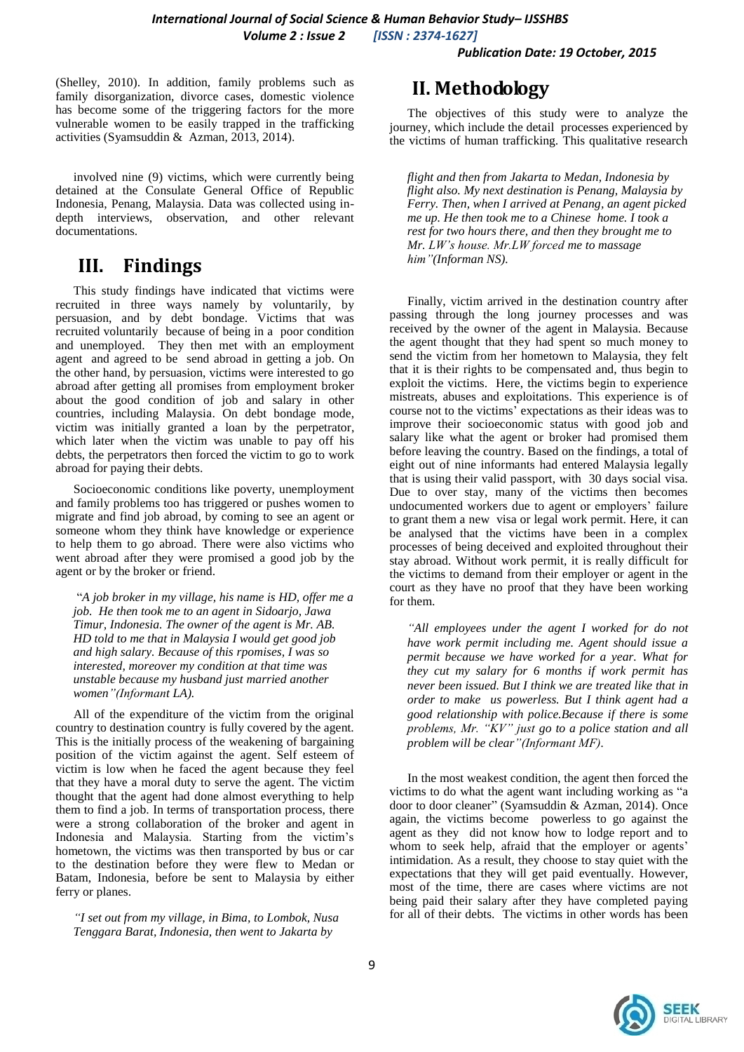(Shelley, 2010). In addition, family problems such as family disorganization, divorce cases, domestic violence has become some of the triggering factors for the more vulnerable women to be easily trapped in the trafficking activities (Syamsuddin & Azman, 2013, 2014).

involved nine (9) victims, which were currently being detained at the Consulate General Office of Republic Indonesia, Penang, Malaysia. Data was collected using indepth interviews, observation, and other relevant documentations.

## **III. Findings**

This study findings have indicated that victims were recruited in three ways namely by voluntarily, by persuasion, and by debt bondage. Victims that was recruited voluntarily because of being in a poor condition and unemployed. They then met with an employment agent and agreed to be send abroad in getting a job. On the other hand, by persuasion, victims were interested to go abroad after getting all promises from employment broker about the good condition of job and salary in other countries, including Malaysia. On debt bondage mode, victim was initially granted a loan by the perpetrator, which later when the victim was unable to pay off his debts, the perpetrators then forced the victim to go to work abroad for paying their debts.

Socioeconomic conditions like poverty, unemployment and family problems too has triggered or pushes women to migrate and find job abroad, by coming to see an agent or someone whom they think have knowledge or experience to help them to go abroad. There were also victims who went abroad after they were promised a good job by the agent or by the broker or friend.

"*A job broker in my village, his name is HD, offer me a job. He then took me to an agent in Sidoarjo, Jawa Timur, Indonesia. The owner of the agent is Mr. AB. HD told to me that in Malaysia I would get good job and high salary. Because of this rpomises, I was so interested, moreover my condition at that time was unstable because my husband just married another women"(Informant LA).*

All of the expenditure of the victim from the original country to destination country is fully covered by the agent. This is the initially process of the weakening of bargaining position of the victim against the agent. Self esteem of victim is low when he faced the agent because they feel that they have a moral duty to serve the agent. The victim thought that the agent had done almost everything to help them to find a job. In terms of transportation process, there were a strong collaboration of the broker and agent in Indonesia and Malaysia. Starting from the victim's hometown, the victims was then transported by bus or car to the destination before they were flew to Medan or Batam, Indonesia, before be sent to Malaysia by either ferry or planes.

*"I set out from my village, in Bima, to Lombok, Nusa Tenggara Barat, Indonesia, then went to Jakarta by* 

### **II. Methodology**

The objectives of this study were to analyze the journey, which include the detail processes experienced by the victims of human trafficking. This qualitative research

*flight and then from Jakarta to Medan, Indonesia by flight also. My next destination is Penang, Malaysia by Ferry. Then, when I arrived at Penang, an agent picked me up. He then took me to a Chinese home. I took a rest for two hours there, and then they brought me to Mr. LW's house. Mr.LW forced me to massage him"(Informan NS).*

Finally, victim arrived in the destination country after passing through the long journey processes and was received by the owner of the agent in Malaysia. Because the agent thought that they had spent so much money to send the victim from her hometown to Malaysia, they felt that it is their rights to be compensated and, thus begin to exploit the victims. Here, the victims begin to experience mistreats, abuses and exploitations. This experience is of course not to the victims' expectations as their ideas was to improve their socioeconomic status with good job and salary like what the agent or broker had promised them before leaving the country. Based on the findings, a total of eight out of nine informants had entered Malaysia legally that is using their valid passport, with 30 days social visa. Due to over stay, many of the victims then becomes undocumented workers due to agent or employers' failure to grant them a new visa or legal work permit. Here, it can be analysed that the victims have been in a complex processes of being deceived and exploited throughout their stay abroad. Without work permit, it is really difficult for the victims to demand from their employer or agent in the court as they have no proof that they have been working for them.

*"All employees under the agent I worked for do not have work permit including me. Agent should issue a permit because we have worked for a year. What for they cut my salary for 6 months if work permit has never been issued. But I think we are treated like that in order to make us powerless. But I think agent had a good relationship with police.Because if there is some problems, Mr. "KV" just go to a police station and all problem will be clear"(Informant MF).* 

In the most weakest condition, the agent then forced the victims to do what the agent want including working as "a door to door cleaner" (Syamsuddin & Azman, 2014). Once again, the victims become powerless to go against the agent as they did not know how to lodge report and to whom to seek help, afraid that the employer or agents' intimidation. As a result, they choose to stay quiet with the expectations that they will get paid eventually. However, most of the time, there are cases where victims are not being paid their salary after they have completed paying for all of their debts. The victims in other words has been

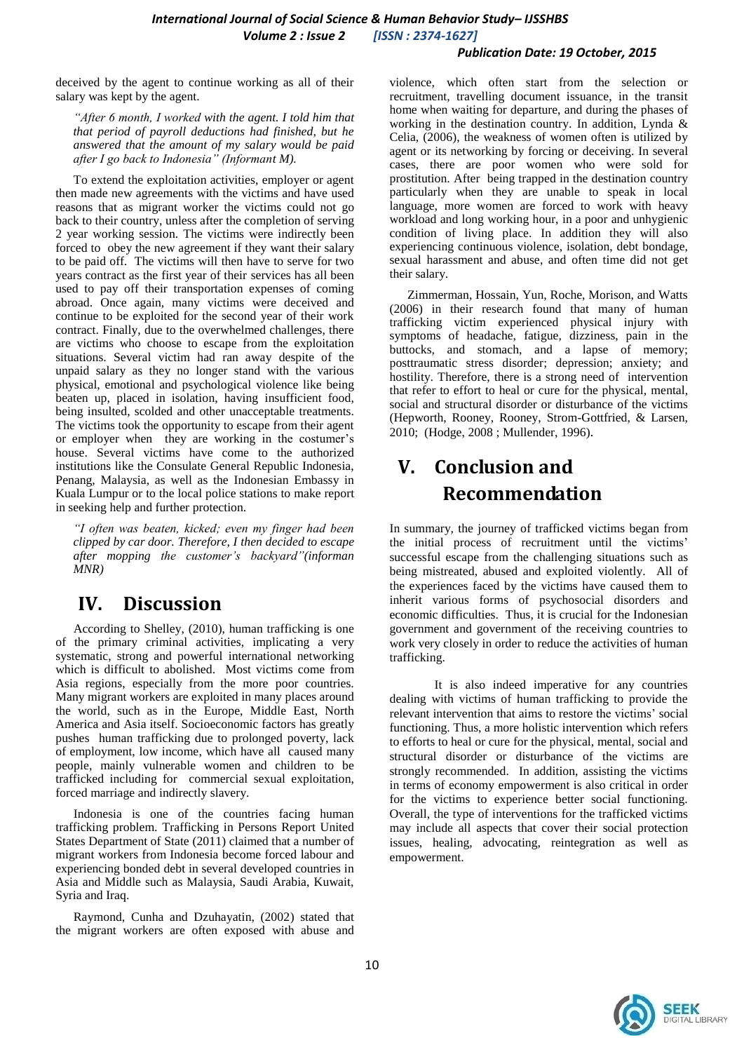### *Publication Date: 19 October, 2015*

deceived by the agent to continue working as all of their salary was kept by the agent.

*"After 6 month, I worked with the agent. I told him that that period of payroll deductions had finished, but he answered that the amount of my salary would be paid after I go back to Indonesia" (Informant M).*

To extend the exploitation activities, employer or agent then made new agreements with the victims and have used reasons that as migrant worker the victims could not go back to their country, unless after the completion of serving 2 year working session. The victims were indirectly been forced to obey the new agreement if they want their salary to be paid off. The victims will then have to serve for two years contract as the first year of their services has all been used to pay off their transportation expenses of coming abroad. Once again, many victims were deceived and continue to be exploited for the second year of their work contract. Finally, due to the overwhelmed challenges, there are victims who choose to escape from the exploitation situations. Several victim had ran away despite of the unpaid salary as they no longer stand with the various physical, emotional and psychological violence like being beaten up, placed in isolation, having insufficient food, being insulted, scolded and other unacceptable treatments. The victims took the opportunity to escape from their agent or employer when they are working in the costumer's house. Several victims have come to the authorized institutions like the Consulate General Republic Indonesia, Penang, Malaysia, as well as the Indonesian Embassy in Kuala Lumpur or to the local police stations to make report in seeking help and further protection.

*"I often was beaten, kicked; even my finger had been clipped by car door. Therefore, I then decided to escape after mopping the customer's backyard"(informan MNR)*

# **IV. Discussion**

According to [Shelley, \(2010\)](../../../USER/AppData/Local/Temp/1%202%203%20translate.doc#_ENREF_18), human trafficking is one of the primary criminal activities, implicating a very systematic, strong and powerful international networking which is difficult to abolished. Most victims come from Asia regions, especially from the more poor countries. Many migrant workers are exploited in many places around the world, such as in the Europe, Middle East, North America and Asia itself. Socioeconomic factors has greatly pushes human trafficking due to prolonged poverty, lack of employment, low income, which have all caused many people, mainly vulnerable women and children to be trafficked including for commercial sexual exploitation, forced marriage and indirectly slavery.

Indonesia is one of the countries facing human trafficking problem. Trafficking in Persons Report United States Department of State (2011) claimed that a number of migrant workers from Indonesia become forced labour and experiencing bonded debt in several developed countries in Asia and Middle such as Malaysia, Saudi Arabia, Kuwait, Syria and Iraq.

[Raymond, Cunha and Dzuhayatin, \(2002\)](../../../USER/AppData/Local/Temp/1%202%203%20translate.doc#_ENREF_17) stated that the migrant workers are often exposed with abuse and violence, which often start from the selection or recruitment, travelling document issuance, in the transit home when waiting for departure, and during the phases of working in the destination country. In addition, [Lynda &](../../../USER/AppData/Local/Temp/1%202%203%20translate.doc#_ENREF_13)  [Celia, \(2006\)](../../../USER/AppData/Local/Temp/1%202%203%20translate.doc#_ENREF_13), the weakness of women often is utilized by agent or its networking by forcing or deceiving. In several cases, there are poor women who were sold for prostitution. After being trapped in the destination country particularly when they are unable to speak in local language, more women are forced to work with heavy workload and long working hour, in a poor and unhygienic condition of living place. In addition they will also experiencing continuous violence, isolation, debt bondage, sexual harassment and abuse, and often time did not get their salary.

Zimmerman, Hossain, Yun, Roche, Morison, and Watts (2006) in their research found that many of human trafficking victim experienced physical injury with symptoms of headache, fatigue, dizziness, pain in the buttocks, and stomach, and a lapse of memory; posttraumatic stress disorder; depression; anxiety; and hostility. Therefore, there is a strong need of intervention that refer to effort to heal or cure for the physical, mental, social and structural disorder or disturbance of the victims [\(Hepworth, Rooney, Rooney, Strom-Gottfried, & Larsen,](../../../USER/AppData/Local/Temp/1%202%203%20translate.doc#_ENREF_9)  [2010;](../../../USER/AppData/Local/Temp/1%202%203%20translate.doc#_ENREF_9) (Hodge, 2008 ; [Mullender, 1996\)](../../../USER/AppData/Local/Temp/1%202%203%20translate.doc#_ENREF_12).

# **V. Conclusion and Recommendation**

In summary, the journey of trafficked victims began from the initial process of recruitment until the victims' successful escape from the challenging situations such as being mistreated, abused and exploited violently. All of the experiences faced by the victims have caused them to inherit various forms of psychosocial disorders and economic difficulties. Thus, it is crucial for the Indonesian government and government of the receiving countries to work very closely in order to reduce the activities of human trafficking.

It is also indeed imperative for any countries dealing with victims of human trafficking to provide the relevant intervention that aims to restore the victims' social functioning. Thus, a more holistic intervention which refers to efforts to heal or cure for the physical, mental, social and structural disorder or disturbance of the victims are strongly recommended. In addition, assisting the victims in terms of economy empowerment is also critical in order for the victims to experience better social functioning. Overall, the type of interventions for the trafficked victims may include all aspects that cover their social protection issues, healing, advocating, reintegration as well as empowerment.